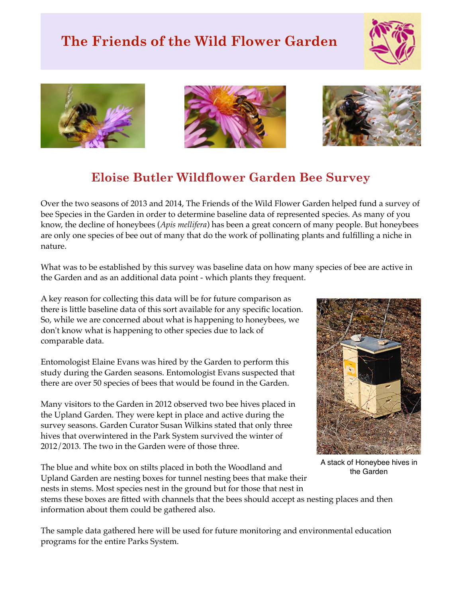## **The Friends of the Wild Flower Garden**









## **Eloise Butler Wildflower Garden Bee Survey**

Over the two seasons of 2013 and 2014, The Friends of the Wild Flower Garden helped fund a survey of bee Species in the Garden in order to determine baseline data of represented species. As many of you know, the decline of honeybees (*Apis mellifera*) has been a great concern of many people. But honeybees are only one species of bee out of many that do the work of pollinating plants and fulfilling a niche in nature.

What was to be established by this survey was baseline data on how many species of bee are active in the Garden and as an additional data point - which plants they frequent.

A key reason for collecting this data will be for future comparison as there is little baseline data of this sort available for any specific location. So, while we are concerned about what is happening to honeybees, we don't know what is happening to other species due to lack of comparable data.

Entomologist Elaine Evans was hired by the Garden to perform this study during the Garden seasons. Entomologist Evans suspected that there are over 50 species of bees that would be found in the Garden.

Many visitors to the Garden in 2012 observed two bee hives placed in the Upland Garden. They were kept in place and active during the survey seasons. Garden Curator Susan Wilkins stated that only three hives that overwintered in the Park System survived the winter of 2012/2013. The two in the Garden were of those three.

The blue and white box on stilts placed in both the Woodland and Upland Garden are nesting boxes for tunnel nesting bees that make their nests in stems. Most species nest in the ground but for those that nest in

stems these boxes are fitted with channels that the bees should accept as nesting places and then information about them could be gathered also.

The sample data gathered here will be used for future monitoring and environmental education programs for the entire Parks System.



A stack of Honeybee hives in the Garden